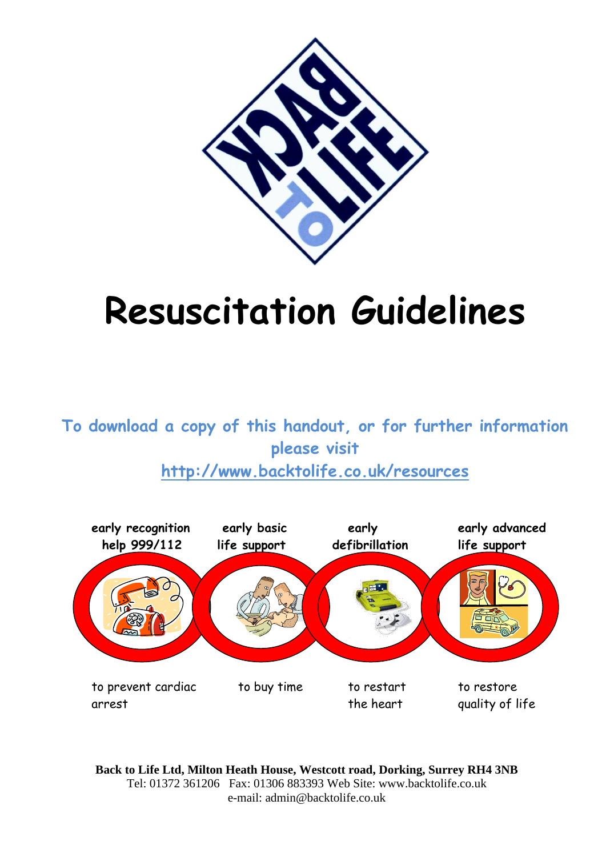

## **Resuscitation Guidelines**

**To download a copy of this handout, or for further information please visit http://www.backtolife.co.uk/resources**



**Back to Life Ltd, Milton Heath House, Westcott road, Dorking, Surrey RH4 3NB** Tel: 01372 361206 Fax: 01306 883393 Web Site: www.backtolife.co.uk e-mail: admin@backtolife.co.uk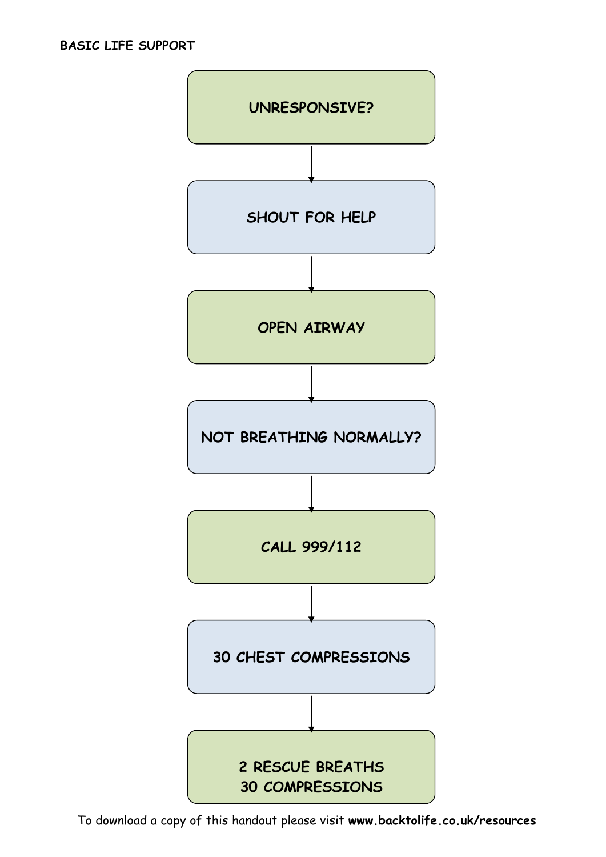

To download a copy of this handout please visit **www.backtolife.co.uk/resources**